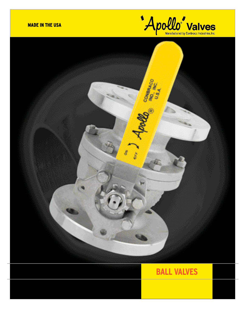

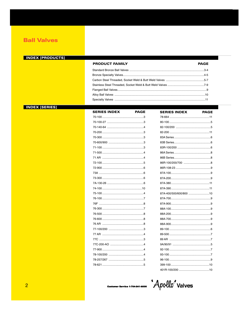### **INDEX [PRODUCTS]**

### **PRODUCT FAMILY**

#### **PAGE**

### **INDEX [SERIES]**

| <b>SERIES INDEX</b> | <b>PAGE</b> |
|---------------------|-------------|
|                     |             |
|                     |             |
|                     |             |
|                     |             |
|                     |             |
|                     |             |
|                     |             |
|                     |             |
|                     |             |
|                     |             |
|                     |             |
|                     |             |
|                     |             |
|                     |             |
|                     |             |
|                     |             |
|                     |             |
|                     |             |
|                     |             |
|                     |             |
|                     |             |
|                     |             |
|                     |             |
|                     |             |
|                     |             |
|                     |             |
|                     |             |
|                     |             |
|                     |             |
|                     |             |

| <b>SERIES INDEX</b>    | <b>PAGE</b> |
|------------------------|-------------|
|                        |             |
|                        |             |
|                        |             |
|                        |             |
|                        |             |
|                        |             |
|                        |             |
|                        |             |
|                        |             |
|                        |             |
|                        |             |
|                        |             |
|                        |             |
|                        |             |
|                        |             |
| 87A-400/500/600/800 10 |             |
|                        |             |
|                        |             |
|                        |             |
|                        |             |
|                        |             |
|                        |             |
|                        |             |
|                        |             |
|                        |             |
|                        |             |
|                        |             |
|                        |             |
|                        |             |
|                        |             |
|                        |             |

Customer Service 1-704-841-6000 Apollo<sup>4</sup> Valves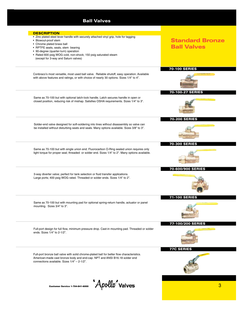| <b>DESCRIPTION</b>                                                                                                                                                                                                                                                                                                                 |                                              |
|------------------------------------------------------------------------------------------------------------------------------------------------------------------------------------------------------------------------------------------------------------------------------------------------------------------------------------|----------------------------------------------|
| • Zinc plated steel lever handle with securely attached vinyl grip, hole for tagging<br>• Blowout-proof stem<br>• Chrome plated brass ball<br>• RPTFE seats, seals, stem bearing<br>• 90-degree (quarter-turn) operation<br>• Rated 600 psig WOG cold, non-shock; 150 psig saturated steam<br>(except for 3-way and Saturn valves) | <b>Standard Bronze</b><br><b>Ball Valves</b> |
| Conbraco's most versatile, most used ball valve. Reliable shutoff, easy operation. Available<br>with above features and ratings, or with choice of nearly 30 options. Sizes 1/4" to 4".                                                                                                                                            | <b>70-100 SERIES</b>                         |
| Same as 70-100 but with optional latch-lock handle. Latch secures handle in open or<br>closed position, reducing risk of mishap. Satisfies OSHA requirements. Sizes 1/4" to 3".                                                                                                                                                    | 70-100-27 SERIES                             |
| Solder-end valve designed for soft-soldering into lines without disassembly so valve can<br>be installed without disturbing seats and seals. Many options available. Sizes 3/8" to 3".                                                                                                                                             | <b>70-200 SERIES</b>                         |
| Same as 70-100 but with single union end. Fluorocarbon O-Ring sealed union requires only<br>light torque for proper seal; threaded or solder end. Sizes 1/4" to 2". Many options available.                                                                                                                                        | <b>70-300 SERIES</b>                         |
| 3-way diverter valve; perfect for tank selection or fluid transfer applications.<br>Large ports; 400 psig WOG rated. Threaded or solder ends. Sizes 1/4" to 2".                                                                                                                                                                    | 70-600/900 SERIES                            |
| Same as 70-100 but with mounting pad for optional spring-return handle, actuator or panel<br>mounting. Sizes 3/4" to 3".                                                                                                                                                                                                           | <b>71-100 SERIES</b>                         |
| Full-port design for full flow, minimum pressure drop. Cast-in mounting pad. Threaded or solder<br>ends. Sizes 1/4" to 2-1/2".                                                                                                                                                                                                     | 77-100/200 SERIES                            |
| Full-port bronze ball valve with solid chrome-plated ball for better flow characteristics.<br>American-made cast bronze body and end-cap. NPT and ANSI B16.18 solder end<br>connections available. Sizes 1/4" - 2-1/2".                                                                                                            | <b>77C SERIES</b>                            |

Customer Service 1-704-841-6000 **Apollo** Valves **Customer Service 1-704-841-6000**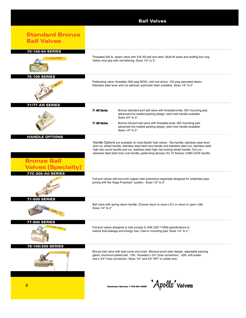|                                                 | <b>Ball Valves</b>                                                                                                                                                                                                                                                                                                                                                                           |
|-------------------------------------------------|----------------------------------------------------------------------------------------------------------------------------------------------------------------------------------------------------------------------------------------------------------------------------------------------------------------------------------------------------------------------------------------------|
| <b>Standard Bronze</b><br><b>Ball Valves</b>    |                                                                                                                                                                                                                                                                                                                                                                                              |
| 70-140-64 SERIES                                |                                                                                                                                                                                                                                                                                                                                                                                              |
|                                                 | Threaded 250 lb. steam valve with 316 SS ball and stem. Multi-fill seats and stuffing box ring.<br>Yellow vinyl grip with red lettering. Sizes 1/4" to 3".                                                                                                                                                                                                                                   |
| <b>75-100 SERIES</b>                            |                                                                                                                                                                                                                                                                                                                                                                                              |
|                                                 | Padlocking valve; threaded, 600 psig WOG, cold non-shock, 150 psig saturated steam.<br>Stainless steel lever and nut optional; automatic drain available. Sizes 1/4" to 2"                                                                                                                                                                                                                   |
| <b>71/77 AR SERIES</b>                          | <b>71 AR Series</b><br>Bronze standard port ball valve with threaded ends; ISO mounting pad,<br>advanced live loaded packing design, latch lock handle available.<br>Sizes 3/4" to 3".                                                                                                                                                                                                       |
|                                                 | <b>77 AR Series</b><br>Bronze full-port ball valve with threaded ends; ISO mounting pad,<br>advanced live loaded packing design, latch lock handle available.<br>Sizes 1/4" to 2".                                                                                                                                                                                                           |
| <b>HANDLE OPTIONS</b>                           |                                                                                                                                                                                                                                                                                                                                                                                              |
| <b>Bronze Ball</b><br><b>Valves [Specialty]</b> | Handle Options are available on most Apollo® ball valves: Tee handle; stainless steel lever<br>and nut; wheel handle; stainless steel latch lock handle and stainless steel nut; stainless steel<br>high-rise round handle and nut, stainless steel high-rise locking wheel handle; Cyl-Loc;<br>stainless steel latch-lock oval handle, padlocking devices (for 72 Series); CAM-LOCK handle. |
| <b>77C-200-A0 SERIES</b>                        |                                                                                                                                                                                                                                                                                                                                                                                              |
|                                                 | Full-port valves with two-inch copper tube extensions especially designed for solderless pipe<br>joining with the Viega Propress <sup>®</sup> system. Sizes 1/2" to 2"                                                                                                                                                                                                                       |
| <b>71-500 SERIES</b>                            |                                                                                                                                                                                                                                                                                                                                                                                              |
|                                                 | Ball valve with spring return handle. Choose return to close (-01) or return to open (-08).<br>Sizes 1/4" to 2".                                                                                                                                                                                                                                                                             |
| 77-900 SERIES                                   | Full-port valves designed to fully comply to SAE [ISO 11926] specifications to<br>reduce fluid leakage and energy loss. Cast-in mounting pad. Sizes 1/4" to 2".                                                                                                                                                                                                                              |
| 78-100/200 SERIES                               |                                                                                                                                                                                                                                                                                                                                                                                              |
|                                                 | Bronze ball valve with dust cover and chain. Blowout-proof stem design, adjustable packing<br>gland, chromium-plated ball. -100: threaded x 3/4" hose connection; -200: soft-solder<br>end x 3/4" hose connection. Sizes 1/2" and 3/4" NPT or solder end.                                                                                                                                    |
| 4                                               | $\bm{\mathrm{[1]}}$ $\bm{\mathrm{A}}$ pollo $\bm{\mathrm{[1]}}$ valves<br><b>Customer Service 1-704-841-6000</b>                                                                                                                                                                                                                                                                             |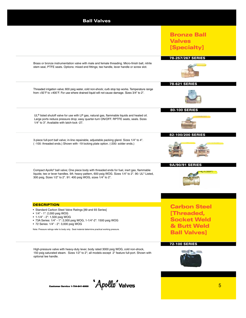| <b>Ball Valves</b>                                                                                                                                                                                                                                                                                                                                                 |                                                                                               |
|--------------------------------------------------------------------------------------------------------------------------------------------------------------------------------------------------------------------------------------------------------------------------------------------------------------------------------------------------------------------|-----------------------------------------------------------------------------------------------|
|                                                                                                                                                                                                                                                                                                                                                                    | <b>Bronze Ball</b><br><b>Valves</b><br>[Specialty]                                            |
| Brass or bronze instrumentation valve with male and female threading. Micro-finish ball, nitrile<br>stem seal, PTFE seats. Options: mixed end fittings; tee handle, lever handle or screw slot.                                                                                                                                                                    | 78-257/267 SERIES                                                                             |
| Threaded irrigation valve; 600 psig water, cold non-shock; curb stop top works. Temperature range<br>from +50°F to +400°F. For use where drained liquid will not cause damage. Sizes 3/4" to 2".                                                                                                                                                                   | <b>78-621 SERIES</b>                                                                          |
| UL <sup>®</sup> listed shutoff valve for use with LP gas, natural gas, flammable liquids and heated oil.<br>Large ports reduce pressure drop; easy quarter-turn ON/OFF. RPTFE seats, seals. Sizes<br>1/4" to 3". Available with latch-lock -27.                                                                                                                    | <b>80-100 SERIES</b>                                                                          |
| 3-piece full-port ball valve; in-line repairable, adjustable packing gland. Sizes 1/4" to 4".<br>(-100: threaded ends.) Shown with -19 locking plate option. (-200: solder ends.)                                                                                                                                                                                  | 82-100/200 SERIES                                                                             |
| Compact Apollo® ball valve; One piece body with threaded ends for fuel, inert gas, flammable<br>liquids; tee or lever handles. 9A: heavy pattern, 600 psig WOG. Sizes 1/4" to 2". 90: UL® Listed,<br>300 psig, Sizes 1/2" to 2". 91: 400 psig WOG, sizes 1/4" to 2".                                                                                               | <b>9A/90/91 SERIES</b>                                                                        |
| <b>DESCRIPTION</b><br>• Standard Carbon Steel Valve Ratings [89 and 93 Series]<br>• $1/4" - 1"$ : 2,000 psig WOG<br>• 1-1/4" - 2": 1,500 psig WOG<br>• 73A Series: 1/4" - 1": 2,000 psig WOG, 1-1/4"-2": 1500 psig WOG<br>• 72 Series: 1/4" - 2": 3,000 psig WOG<br>Note: Pressure ratings refer to body only. Seat material determine practical working pressure. | <b>Carbon Steel</b><br>[Threaded,<br><b>Socket Weld</b><br>& Butt Weld<br><b>Ball Valves]</b> |
| High-pressure valve with heavy-duty lever, body rated 3000 psig WOG, cold non-shock,<br>150 psig saturated steam. Sizes 1/2" to 2"; all models except 2" feature full-port. Shown with<br>optional tee handle.                                                                                                                                                     | <b>72-100 SERIES</b>                                                                          |

Customer Service 1-704-841-6000 5 1-704-841-6000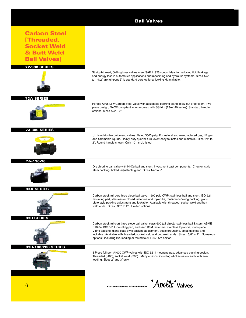|                                                                                               | <b>Ball Valves</b>                                                                                                                                                                                                                                                                                                                                                                                                                                                 |
|-----------------------------------------------------------------------------------------------|--------------------------------------------------------------------------------------------------------------------------------------------------------------------------------------------------------------------------------------------------------------------------------------------------------------------------------------------------------------------------------------------------------------------------------------------------------------------|
| <b>Carbon Steel</b><br>[Threaded,<br><b>Socket Weld</b><br>& Butt Weld<br><b>Ball Valves]</b> |                                                                                                                                                                                                                                                                                                                                                                                                                                                                    |
| <b>72-900 SERIES</b>                                                                          | Straight-thread, O-Ring boss valves meet SAE 11926 specs. Ideal for reducing fluid leakage<br>and energy loss in automotive applications and machining and hydraulic systems. Sizes 1/4"<br>to 1-1/2" are full-port; 2" is standard port; optional locking kit available.                                                                                                                                                                                          |
| <b>73A SERIES</b>                                                                             | Forged A105 Low Carbon Steel valve with adjustable packing gland, blow-out proof stem. Two-<br>piece design, NACE compliant when ordered with SS trim (73A-140 series). Standard handle<br>options. Sizes $1/4" - 2"$ .                                                                                                                                                                                                                                            |
| <b>73-300 SERIES</b>                                                                          | UL listed double union end valves. Rated 3000 psig. For natural and manufactured gas, LP gas<br>and flammable liquids. Heavy-duty quarter-turn lever; easy to install and maintain. Sizes 1/4" to<br>2". Round handle shown. Only -01 is UL listed.                                                                                                                                                                                                                |
| 7A-130-26                                                                                     | Dry chlorine ball valve with Ni-Cu ball and stem. Investment cast components. Chevron style<br>stem packing, bolted, adjustable gland. Sizes 1/4" to 2".                                                                                                                                                                                                                                                                                                           |
| <b>83A SERIES</b>                                                                             | Carbon steel, full port three piece ball valve, 1500 psig CWP; stainless ball and stem, ISO 5211<br>mounting pad, stainless enclosed fasteners and topworks, multi-piece V-ring packing, gland<br>plate style packing adjustment and lockable. Available with threaded, socket weld and butt<br>weld ends. Sizes: 3/8" to 2". Limited options.                                                                                                                     |
| <b>83B SERIES</b>                                                                             | Carbon steel, full-port three piece ball valve, class 600 (all sizes): stainless ball & stem, ASME<br>B16.34, ISO 5211 mounting pad, enclosed B8M fasteners, stainless topworks, multi-piece<br>V-ring packing, gland plate style packing adjustment, static grounding, spiral gaskets and<br>lockable. Available with threaded, socket weld and butt weld ends. Sizes: 3/8" to 2". Numerous<br>options: including live-loading or tested to API 607, 5th edition. |
| 83R-100/200 SERIES                                                                            | 3 Piece full-port #1000 CWP valves with ISO 5211 mounting pad, advanced packing design.<br>Threaded (-100), socket weld (-200). Many options, including -AR actuator-ready with live-<br>loading. Sizes 2" and 3" only.                                                                                                                                                                                                                                            |
| 6                                                                                             | $\bm{\mathcal{A}}$ pollo $\bm{\mathcal{A}}$ valves<br><b>Customer Service 1-704-841-6000</b>                                                                                                                                                                                                                                                                                                                                                                       |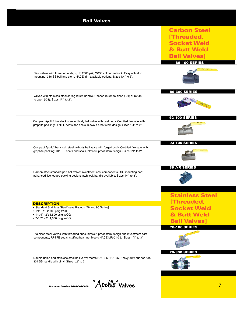| <b>Ball Valves</b>                                                                                                                                                                    |                        |
|---------------------------------------------------------------------------------------------------------------------------------------------------------------------------------------|------------------------|
|                                                                                                                                                                                       | <b>Carbon Steel</b>    |
|                                                                                                                                                                                       | [Threaded,             |
|                                                                                                                                                                                       | <b>Socket Weld</b>     |
|                                                                                                                                                                                       | & Butt Weld            |
|                                                                                                                                                                                       | <b>Ball Valves]</b>    |
|                                                                                                                                                                                       | <b>89-100 SERIES</b>   |
| Cast valves with threaded ends; up to 2000 psig WOG cold non-shock. Easy actuator<br>mounting; 316 SS ball and stem, NACE trim available options. Sizes 1/4" to 3".                   |                        |
| Valves with stainless steel spring return handle. Choose return to close (-01) or return<br>to open (-08). Sizes 1/4" to 2".                                                          | <b>89-500 SERIES</b>   |
| Compact Apollo® bar stock steel unibody ball valve with cast body. Certified fire safe with                                                                                           | <b>92-100 SERIES</b>   |
| graphite packing; RPTFE seats and seals, blowout proof stem design. Sizes 1/4" to 2".                                                                                                 |                        |
|                                                                                                                                                                                       | <b>93-100 SERIES</b>   |
| Compact Apollo® bar stock steel unibody ball valve with forged body. Certified fire safe with<br>graphite packing; RPTFE seats and seals, blowout proof stem design. Sizes 1/4" to 2" |                        |
|                                                                                                                                                                                       | <b>89 AR SERIES</b>    |
| Carbon steel standard port ball valve; investment cast components; ISO mounting pad;<br>advanced live loaded packing design; latch lock handle available. Sizes 1/4" to 3".           |                        |
|                                                                                                                                                                                       | <b>Stainless Steel</b> |
|                                                                                                                                                                                       | [Threaded,             |
| <b>DESCRIPTION</b><br>• Standard Stainless Steel Valve Ratings [76 and 96 Series]                                                                                                     | <b>Socket Weld</b>     |
| • 1/4" - 1": 2,000 psig WOG<br>• 1-1/4" - 2": 1,500 psig WOG                                                                                                                          | & Butt Weld            |
| • 2-1/2" - 3": 1,000 psig WOG                                                                                                                                                         | <b>Ball Valves]</b>    |
|                                                                                                                                                                                       | <b>76-100 SERIES</b>   |
| Stainless steel valves with threaded ends, blowout-proof stem design and investment cast                                                                                              |                        |
| components, RPTFE seats, stuffing box ring. Meets NACE MR-01-75. Sizes 1/4" to 3".                                                                                                    |                        |
|                                                                                                                                                                                       | 76-300 SERIES          |
| Double union end stainless steel ball valve; meets NACE MR-01-75. Heavy-duty quarter-turn<br>304 SS handle with vinyl. Sizes 1/2" to 2".                                              |                        |
|                                                                                                                                                                                       |                        |
| $\mathcal{A}$ pollo $\mathcal{A}$ valves                                                                                                                                              | 7                      |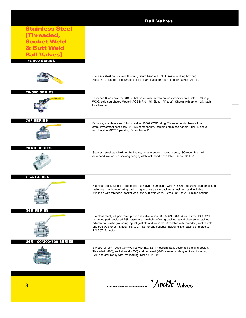|                        | <b>Ball Valves</b>                                                                                                                                                                                                                                                                                                                                                                                                          |
|------------------------|-----------------------------------------------------------------------------------------------------------------------------------------------------------------------------------------------------------------------------------------------------------------------------------------------------------------------------------------------------------------------------------------------------------------------------|
| <b>Stainless Steel</b> |                                                                                                                                                                                                                                                                                                                                                                                                                             |
| [Threaded,             |                                                                                                                                                                                                                                                                                                                                                                                                                             |
| <b>Socket Weld</b>     |                                                                                                                                                                                                                                                                                                                                                                                                                             |
| & Butt Weld            |                                                                                                                                                                                                                                                                                                                                                                                                                             |
| <b>Ball Valves]</b>    |                                                                                                                                                                                                                                                                                                                                                                                                                             |
| <b>76-500 SERIES</b>   |                                                                                                                                                                                                                                                                                                                                                                                                                             |
|                        |                                                                                                                                                                                                                                                                                                                                                                                                                             |
|                        | Stainless steel ball valve with spring return handle. MPTFE seats, stuffing box ring.<br>Specify (-01) suffix for return to close or (-08) suffix for return to open. Sizes 1/4" to 2".                                                                                                                                                                                                                                     |
| <b>76-600 SERIES</b>   | Threaded 3-way diverter 316 SS ball valve with investment cast components; rated 800 psig<br>WOG, cold non-shock. Meets NACE MR-01-75. Sizes 1/4" to 2". Shown with option -27, latch<br>lock handle.                                                                                                                                                                                                                       |
| <b>76F SERIES</b>      | Economy stainless steel full-port valve, 1000# CWP rating. Threaded ends, blowout proof<br>stem, investment cast body, 316 SS components, including stainless handle. RPTFE seats<br>and long-life MPTFE packing. Sizes 1/4" - 2".                                                                                                                                                                                          |
| <b>76AR SERIES</b>     | Stainless steel standard port ball valve; investment cast components; ISO mounting pad;<br>advanced live loaded packing design; latch lock handle available. Sizes 1/4" to 3                                                                                                                                                                                                                                                |
| <b>86A SERIES</b>      | Stainless steel, full-port three piece ball valve, 1500 psig CWP; ISO 5211 mounting pad, enclosed<br>fasteners, multi-piece V-ring packing, gland plate style packing adjustment and lockable.<br>Available with threaded, socket weld and butt weld ends. Sizes: 3/8" to 2". Limited options.                                                                                                                              |
| <b>86B SERIES</b>      | Stainless steel, full-port three piece ball valve, class 600; ASME B16.34, (all sizes), ISO 5211<br>mounting pad, enclosed B8M fasteners, multi-piece V-ring packing, gland plate style packing<br>adjustment, static grounding, spiral gaskets and lockable. Available with threaded, socket weld<br>and butt weld ends. Sizes: 3/8: to 2". Numerous options: including live-loading or tested to<br>API 607, 5th edition. |
| 86R-100/200/700 SERIES | 3 Piece full-port 1000# CWP valves with ISO 5211 mounting pad, advanced packing design.<br>Threaded (-100), socket weld (-200) and butt weld (-700) versions. Many options, including<br>$-AR$ actuator-ready with live-loading. Sizes $1/4 - 2$ ".                                                                                                                                                                         |
| 8                      | Apollo <sup>"</sup> valves<br><b>Customer Service 1-704-841-6000</b>                                                                                                                                                                                                                                                                                                                                                        |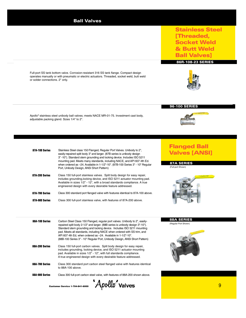Stainless Steel [Threaded, Socket Weld & Butt Weld **Ball Valves]** 

Full-port SS tank bottom valve. Corrosion-resistant 316 SS tank flange. Compact design operates manually or with pneumatic or electric actuators. Threaded, socket weld, butt weld or solder connections. 2" only.

Apollo® stainless steel unibody ball valves; meets NACE MR-01-75. Investment cast body, adjustable packing gland. Sizes 1/4" to 2".

| 87A-100 Series | Stainless Steel class 150 Flanged, Regular Port Valves. Unibody to 2",<br>easily-repaired split body 3" and larger. (87B series is unibody design<br>3" -10"). Standard stem grounding and locking device. Includes ISO 5211<br>mounting pad. Meets many standards, including NACE, and API 6074th Ed.<br>when ordered as -24. Available in 1-1/2"-10". (87B-100 Series 3" - 10" Regular<br>Port, Unibody Design, ANSI Short Pattern) |
|----------------|---------------------------------------------------------------------------------------------------------------------------------------------------------------------------------------------------------------------------------------------------------------------------------------------------------------------------------------------------------------------------------------------------------------------------------------|
| 87A-200 Series | Class 150 full-port stainless valves. Split body design for easy repair,<br>includes grounding, locking device, and ISO 5211 actuator mounting pad.<br>Available in sizes 1/2" - 12", with a broad standards compliance. A true<br>engineered design with every desirable feature addressed.                                                                                                                                          |
| 87A-700 Series | Class 300 standard port flanged valve with features identical to 87A-100 above.                                                                                                                                                                                                                                                                                                                                                       |
| 87A-900 Series | Class 300 full-port stainless valve, with features of 87A-200 above.                                                                                                                                                                                                                                                                                                                                                                  |

88A-100 Series **Carbon Steel Class 150 Flanged, regular port valves. Unibody to 2", easily**repaired split body 2-1/2" and larger. (88B series is unibody design 3"-10"). Standard stem grounding and locking device. Includes ISO 5211 mounting pad. Meets all standards, including NACE when ordered with SS trim, and API 607 4th Ed, when ordered as –24. Available in 1-1/2"-10". (88B-100 Series 3" - 10" Regular Port, Unibody Design, ANSI Short Pattern)

**88A-200 Series** Class 150 full-port carbon valves. Split body design for easy repair, includes grounding, locking device, and ISO 5211 actuator mounting pad. Available in sizes 1/2" - 12", with full standards compliance. A true engineered design with every desirable feature addressed.

**88A-700 Series** Class 300 standard port carbon steel flanged valve with features identical to 88A-100 above.

**88A-900 Series** Class 300 full-port carbon steel valve, with features of 88A-200 shown above.



## 86R-108-23 SERIES



### 96-100 SERIES



## Flanged Ball **Valves [ANSI]**

87A SERIES (Full-port Shown)



### 88A SERIES

(Regular Port Shown)

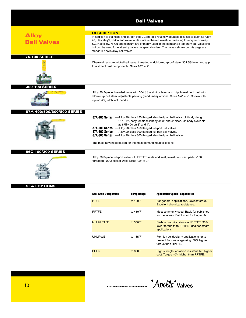## **Alloy Ball Valves** Chemical resistant nickel ball valve, threaded end, blowout-proof stem, 304 SS lever and grip. Investment cast components. Sizes 1/2" to 2". 74-100 SERIES **DESCRIPTION** In addition to stainless and carbon steel, Conbraco routinely pours special alloys such as Alloy 20, Hastelloy®, Ni-Cu and nickel at its state of-the-art investment-casting foundry in Conway, SC. Hastelloy, Ni-Cu and titanium are primarily used in the company's top entry ball valve line but can be used for end entry valves on special orders. The valves shown on this page are standard Apollo alloy ball valves. Alloy 20 2-piece threaded valve with 304 SS and vinyl lever and grip. Investment cast with blowout-proof stem, adjustable packing gland; many options. Sizes 1/4" to 2". Shown with option -27, latch lock handle. 399-100 SERIES **87A-400 Series** —Alloy 20 class 150 flanged standard port ball valve. Unibody design 1/2" – 2", easy repair split body on 3" and 4" sizes. Unibody available as 87B-400 on 3" and 4". **87A-500 Series** —Alloy 20 class 150 flanged full-port ball valves. **87A-600 Series** — Alloy 20 class 300 flanged full-port ball valves.<br>**87A-800 Series** — Alloy 20 class 300 flanged standard port ball v.  $-$ Alloy 20 class 300 flanged standard port ball valves. The most advanced design for the most demanding applications. 87A-400/500/600/800 SERIES Alloy 20 3-piece full-port valve with RPTFE seats and seal, investment cast parts. -100: threaded; -200: socket weld. Sizes 1/2" to 2". 86C-100/200 SERIES SEAT OPTIONS

| <b>Seal Style Designation</b> | <b>Temp Range</b>  | <b>Application/Special Capabilities</b>                                                                      |
|-------------------------------|--------------------|--------------------------------------------------------------------------------------------------------------|
| <b>PTFE</b>                   | to $400^{\circ}$ F | For general applications. Lowest torque.<br>Excellent chemical resistance.                                   |
| <b>RPTFE</b>                  | to $450^{\circ}$ F | Most commonly used. Basis for published<br>torque values. Reinforced for longer life.                        |
| <b>Multifill PTFE</b>         | to $500^{\circ}$ F | Carbon graphite reinforced RPTFE; 30%<br>lower torque than RPTFE. Ideal for steam<br>applications.           |
| <b>UHMPWE</b>                 | to 165°F           | For high solids/slurry applications, or to<br>prevent fluorine off-gassing. 30% higher<br>torque than RPTFE. |
| <b>PEEK</b>                   | to $600^{\circ}$ F | High strength, abrasion resistant, but higher<br>cost. Torque 40% higher than RPTFE.                         |

Ball Valves

*Apollo*' valves

de algebra 1.0 Customer Service 1-704-841-6000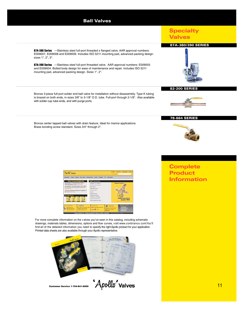**87A-380 Series** —Stainless steel full-port threaded x flanged valve. AAR approval numbers: E009007, E009008 and E009009. Includes ISO 5211 mounting pad, advanced packing design. sizes 1", 2", 3".

**87A-390 Series** —Stainless steel full-port threaded valve. AAR approval numbers: E009003 and E009004. Bolted body design for ease of maintenance and repair. Includes ISO 5211 mounting pad, advanced packing design. Sizes 1", 2".

Bronze 3-piece full-port solder end ball valve for installation without disassembly. Type K tubing is brazed on both ends, in sizes 3/8" to 3-1/8" O.D. tube. Full-port through 2-1/8". Also available with solder cup tube ends, and with purge ports.

Bronze center tapped ball valves with drain feature. Ideal for marine applications. Brass bonding screw standard. Sizes 3/4" through 2".





#### 82-200 SERIES



#### 78-664 SERIES



# **Complete Product Information**

| Apollo valves                                                                                                                                 |                                                                                                      |                                                                                        | <b><i><u>South Of Specials</u></i></b>                                          |                                                                         |
|-----------------------------------------------------------------------------------------------------------------------------------------------|------------------------------------------------------------------------------------------------------|----------------------------------------------------------------------------------------|---------------------------------------------------------------------------------|-------------------------------------------------------------------------|
|                                                                                                                                               |                                                                                                      | About Aprile Products Catalogs Posts Library Technical Library Services Promotions EDI | <b>Aprile Ballon</b>                                                            |                                                                         |
| <b>News &amp; Upcoming Events</b><br>New Apollott 770 Full-Port Ball Valves                                                                   |                                                                                                      | <b>Car Values &amp; Products</b><br>Actuators & Cantrols                               |                                                                                 | <b>Featured Product</b>                                                 |
| Offering Superior Flow (Read Mary)<br>New Apollo@ TTD Full-Port Ball Valve Offers<br>Fast Actuator Mounting Without Brackets<br>(Resold Move) |                                                                                                      | <b>Reckflow Preventers</b><br><b>Built Valves</b><br>Bumsimy Valves                    |                                                                                 |                                                                         |
| Contrace Industries Named A-D Supplier of<br>the Year (Read More)                                                                             |                                                                                                      | <b>Charl Vilves</b><br><b>Marine</b><br>Mixing Valves                                  |                                                                                 |                                                                         |
| <b>INCYTIMAL APOCS UN</b>                                                                                                                     |                                                                                                      | Pipeline Stramers<br><b>Plumbing &amp; Heating</b>                                     |                                                                                 |                                                                         |
|                                                                                                                                               |                                                                                                      | Safety Relief Valves<br>Other Apalla Products                                          |                                                                                 | <b>ASSE 1016/1070</b><br>Ches Here Lat Based                            |
| <b>SALE FALUREATION</b>                                                                                                                       | MEO                                                                                                  | PUTCHARTER                                                                             | <b>ACTUATION</b>                                                                | Engineer's Cerner.<br><b>Tack Stories</b>                               |
| Affred Address Council<br>a Californitan down in a<br>Instrument Mainter Lab.                                                                 | <b>Put Conference's superior 1838</b><br><b>Casting to asiak for prox</b><br><b>NUMBER OF STREET</b> | At WAY's the child commention.<br>$-6.6 - 1.1$                                         | distance you asked the right<br>unkerful your actuality<br><b>WANTED STANDS</b> | <b>Schingful Sheets</b><br><b>CAILDreampy</b><br><b>Company Company</b> |

For more complete information on the v alves you've seen in this catalog, including schematic drawings, materials tables, dimensions, options and flow curves, visit www.conbranco.com.You'll find all of the detailed information you need to specify the right Apollo product for your application. Printed data sheets are also available through your Apollo representative.



Customer Service 1-704-841-6000 **Apollo** Valves **Customer Service 1-704-841-6000**